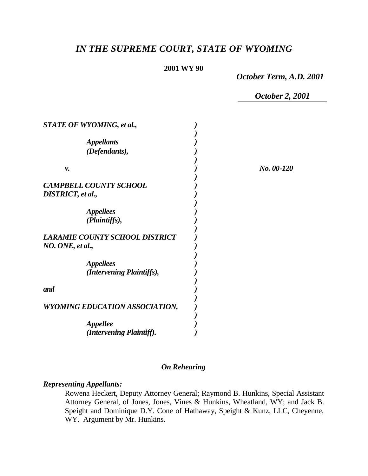# *IN THE SUPREME COURT, STATE OF WYOMING*

#### **2001 WY 90**

*October Term, A.D. 2001*

*October 2, 2001*

*v. ) No. 00-120*

| STATE OF WYOMING, et al.,                                 |  |
|-----------------------------------------------------------|--|
| <i><b>Appellants</b></i>                                  |  |
| (Defendants),                                             |  |
| v.                                                        |  |
| <b>CAMPBELL COUNTY SCHOOL</b>                             |  |
| <b>DISTRICT</b> , et al.,                                 |  |
| <i><b>Appellees</b></i><br>(Plaintiffs),                  |  |
| <b>LARAMIE COUNTY SCHOOL DISTRICT</b><br>NO. ONE, et al., |  |
| <i><b>Appellees</b></i><br>(Intervening Plaintiffs),      |  |
| and                                                       |  |
| WYOMING EDUCATION ASSOCIATION,                            |  |
| <i><b>Appellee</b></i><br>(Intervening Plaintiff).        |  |

# *On Rehearing*

#### *Representing Appellants:*

Rowena Heckert, Deputy Attorney General; Raymond B. Hunkins, Special Assistant Attorney General, of Jones, Jones, Vines & Hunkins, Wheatland, WY; and Jack B. Speight and Dominique D.Y. Cone of Hathaway, Speight & Kunz, LLC, Cheyenne, WY. Argument by Mr. Hunkins.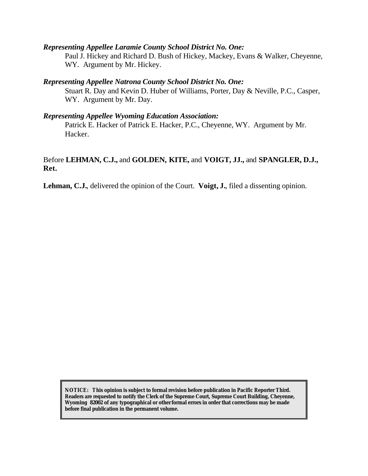#### *Representing Appellee Laramie County School District No. One:*

Paul J. Hickey and Richard D. Bush of Hickey, Mackey, Evans & Walker, Cheyenne, WY. Argument by Mr. Hickey.

#### *Representing Appellee Natrona County School District No. One:*

Stuart R. Day and Kevin D. Huber of Williams, Porter, Day & Neville, P.C., Casper, WY. Argument by Mr. Day.

#### *Representing Appellee Wyoming Education Association:*

Patrick E. Hacker of Patrick E. Hacker, P.C., Cheyenne, WY. Argument by Mr. Hacker.

# Before **LEHMAN, C.J.,** and **GOLDEN, KITE,** and **VOIGT, JJ.,** and **SPANGLER, D.J., Ret.**

**Lehman, C.J.**, delivered the opinion of the Court. **Voigt, J.**, filed a dissenting opinion.

**NOTICE:** *This opinion is subject to formal revision before publication in Pacific Reporter Third. Readers are requested to notify the Clerk of the Supreme Court, Supreme Court Building, Cheyenne, Wyoming 82002 of any typographical or other formal errors in order that corrections may be made before final publication in the permanent volume.*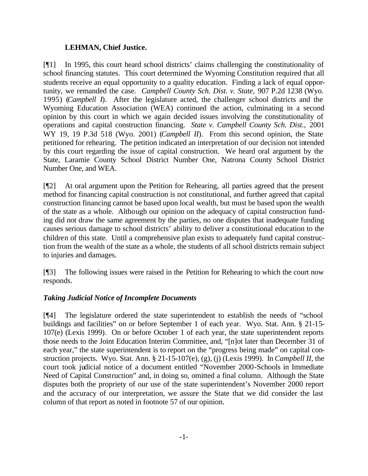## **LEHMAN, Chief Justice.**

[¶1] In 1995, this court heard school districts' claims challenging the constitutionality of school financing statutes. This court determined the Wyoming Constitution required that all students receive an equal opportunity to a quality education. Finding a lack of equal opportunity, we remanded the case. *Campbell County Sch. Dist. v. State,* 907 P.2d 1238 (Wyo. 1995) (*Campbell I*). After the legislature acted, the challenger school districts and the Wyoming Education Association (WEA) continued the action, culminating in a second opinion by this court in which we again decided issues involving the constitutionality of operations and capital construction financing. *State v. Campbell County Sch. Dist.,* 2001 WY 19, 19 P.3d 518 (Wyo. 2001) (*Campbell II*). From this second opinion, the State petitioned for rehearing. The petition indicated an interpretation of our decision not intended by this court regarding the issue of capital construction. We heard oral argument by the State, Laramie County School District Number One, Natrona County School District Number One, and WEA.

[¶2] At oral argument upon the Petition for Rehearing, all parties agreed that the present method for financing capital construction is not constitutional, and further agreed that capital construction financing cannot be based upon local wealth, but must be based upon the wealth of the state as a whole. Although our opinion on the adequacy of capital construction funding did not draw the same agreement by the parties, no one disputes that inadequate funding causes serious damage to school districts' ability to deliver a constitutional education to the children of this state. Until a comprehensive plan exists to adequately fund capital construction from the wealth of the state as a whole, the students of all school districts remain subject to injuries and damages.

[¶3] The following issues were raised in the Petition for Rehearing to which the court now responds.

# *Taking Judicial Notice of Incomplete Documents*

[¶4] The legislature ordered the state superintendent to establish the needs of "school buildings and facilities" on or before September 1 of each year. Wyo. Stat. Ann. § 21-15- 107(e) (Lexis 1999)*.* On or before October 1 of each year, the state superintendent reports those needs to the Joint Education Interim Committee, and, "[n]ot later than December 31 of each year," the state superintendent is to report on the "progress being made" on capital construction projects. Wyo. Stat. Ann. § 21-15-107(e), (g), (j) (Lexis 1999)*.* In *Campbell II,* the court took judicial notice of a document entitled "November 2000-Schools in Immediate Need of Capital Construction" and, in doing so, omitted a final column. Although the State disputes both the propriety of our use of the state superintendent's November 2000 report and the accuracy of our interpretation, we assure the State that we did consider the last column of that report as noted in footnote 57 of our opinion.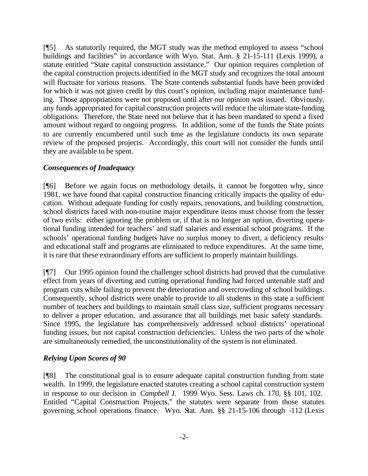[¶5] As statutorily required, the MGT study was the method employed to assess "school buildings and facilities" in accordance with Wyo. Stat. Ann. § 21-15-111 (Lexis 1999), a statute entitled "State capital construction assistance." Our opinion requires completion of the capital construction projects identified in the MGT study and recognizes the total amount will fluctuate for various reasons. The State contends substantial funds have been provided for which it was not given credit by this court's opinion, including major maintenance funding. Those appropriations were not proposed until after our opinion was issued. Obviously, any funds appropriated for capital construction projects will reduce the ultimate state-funding obligations.Therefore, the State need not believe that it has been mandated to spend a fixed amount without regard to ongoing progress. In addition, some of the funds the State points to are currently encumbered until such time as the legislature conducts its own separate review of the proposed projects. Accordingly, this court will not consider the funds until they are available to be spent.

## *Consequences of Inadequacy*

[¶6] Before we again focus on methodology details, it cannot be forgotten why, since 1981, we have found that capital construction financing critically impacts the quality of education. Without adequate funding for costly repairs, renovations, and building construction, school districts faced with non-routine major expenditure items must choose from the lesser of two evils: either ignoring the problem or, if that is no longer an option, diverting operational funding intended for teachers' and staff salaries and essential school programs. If the schools' operational funding budgets have no surplus money to divert, a deficiency results and educational staff and programs are eliminated to reduce expenditures. At the same time, it is rare that these extraordinary efforts are sufficient to properly maintain buildings.

[¶7] Our 1995 opinion found the challenger school districts had proved that the cumulative effect from years of diverting and cutting operational funding had forced untenable staff and program cuts while failing to prevent the deterioration and overcrowding of school buildings. Consequently, school districts were unable to provide to all students in this state a sufficient number of teachers and buildings to maintain small class size, sufficient programs necessary to deliver a proper education, and assurance that all buildings met basic safety standards. Since 1995, the legislature has comprehensively addressed school districts' operational funding issues, but not capital construction deficiencies. Unless the two parts of the whole are simultaneously remedied, the unconstitutionality of the system is not eliminated.

### *Relying Upon Scores of 90*

[¶8] The constitutional goal is to ensure adequate capital construction funding from state wealth. In 1999, the legislature enacted statutes creating a school capital construction system in response to our decision in *Campbell I.* 1999 Wyo. Sess. Laws ch. 170, §§ 101, 102. Entitled "Capital Construction Projects," the statutes were separate from those statutes governing school operations finance. Wyo. Stat. Ann. §§ 21-15-106 through -112 (Lexis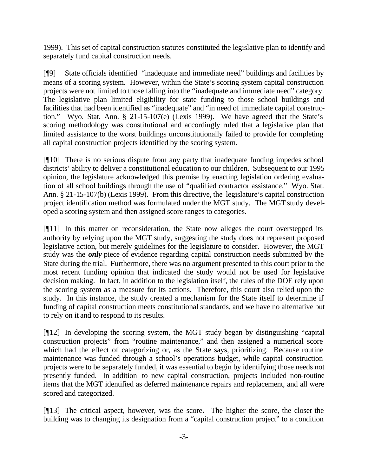1999). This set of capital construction statutes constituted the legislative plan to identify and separately fund capital construction needs.

[¶9] State officials identified "inadequate and immediate need" buildings and facilities by means of a scoring system. However, within the State's scoring system capital construction projects were not limited to those falling into the "inadequate and immediate need" category. The legislative plan limited eligibility for state funding to those school buildings and facilities that had been identified as "inadequate" and "in need of immediate capital construction." Wyo. Stat. Ann. § 21-15-107(e) (Lexis 1999). We have agreed that the State's scoring methodology was constitutional and accordingly ruled that a legislative plan that limited assistance to the worst buildings unconstitutionally failed to provide for completing all capital construction projects identified by the scoring system.

[¶10] There is no serious dispute from any party that inadequate funding impedes school districts' ability to deliver a constitutional education to our children. Subsequent to our 1995 opinion, the legislature acknowledged this premise by enacting legislation ordering evaluation of all school buildings through the use of "qualified contractor assistance." Wyo. Stat. Ann. § 21-15-107(b) (Lexis 1999)*.* From this directive, the legislature's capital construction project identification method was formulated under the MGT study. The MGT study developed a scoring system and then assigned score ranges to categories.

[¶11] In this matter on reconsideration, the State now alleges the court overstepped its authority by relying upon the MGT study, suggesting the study does not represent proposed legislative action, but merely guidelines for the legislature to consider. However, the MGT study was the *only* piece of evidence regarding capital construction needs submitted by the State during the trial. Furthermore, there was no argument presented to this court prior to the most recent funding opinion that indicated the study would not be used for legislative decision making. In fact, in addition to the legislation itself, the rules of the DOE rely upon the scoring system as a measure for its actions. Therefore, this court also relied upon the study. In this instance, the study created a mechanism for the State itself to determine if funding of capital construction meets constitutional standards, and we have no alternative but to rely on it and to respond to its results.

[¶12] In developing the scoring system, the MGT study began by distinguishing "capital construction projects" from "routine maintenance," and then assigned a numerical score which had the effect of categorizing or, as the State says, prioritizing. Because routine maintenance was funded through a school's operations budget, while capital construction projects were to be separately funded, it was essential to begin by identifying those needs not presently funded. In addition to new capital construction, projects included non-routine items that the MGT identified as deferred maintenance repairs and replacement, and all were scored and categorized.

[¶13] The critical aspect, however, was the score**.** The higher the score, the closer the building was to changing its designation from a "capital construction project" to a condition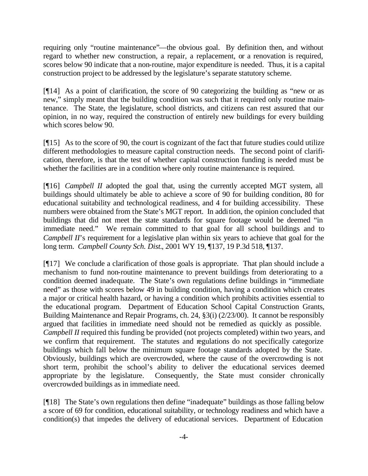requiring only "routine maintenance"—the obvious goal. By definition then, and without regard to whether new construction, a repair, a replacement, or a renovation is required, scores below 90 indicate that a non-routine, major expenditure is needed. Thus, it is a capital construction project to be addressed by the legislature's separate statutory scheme.

[¶14] As a point of clarification, the score of 90 categorizing the building as "new or as new," simply meant that the building condition was such that it required only routine maintenance. The State, the legislature, school districts, and citizens can rest assured that our opinion, in no way, required the construction of entirely new buildings for every building which scores below 90.

[¶15] As to the score of 90, the court is cognizant of the fact that future studies could utilize different methodologies to measure capital construction needs. The second point of clarification, therefore, is that the test of whether capital construction funding is needed must be whether the facilities are in a condition where only routine maintenance is required.

[¶16] *Campbell II* adopted the goal that, using the currently accepted MGT system, all buildings should ultimately be able to achieve a score of 90 for building condition, 80 for educational suitability and technological readiness, and 4 for building accessibility. These numbers were obtained from the State's MGT report. In addition, the opinion concluded that buildings that did not meet the state standards for square footage would be deemed "in immediate need." We remain committed to that goal for all school buildings and to *Campbell II*'s requirement for a legislative plan within six years to achieve that goal for the long term. *Campbell County Sch. Dist.*, 2001 WY 19, ¶137, 19 P.3d 518, ¶137.

[¶17] We conclude a clarification of those goals is appropriate. That plan should include a mechanism to fund non-routine maintenance to prevent buildings from deteriorating to a condition deemed inadequate. The State's own regulations define buildings in "immediate need" as those with scores below 49 in building condition, having a condition which creates a major or critical health hazard, or having a condition which prohibits activities essential to the educational program. Department of Education School Capital Construction Grants, Building Maintenance and Repair Programs, ch. 24, §3(i) (2/23/00). It cannot be responsibly argued that facilities in immediate need should not be remedied as quickly as possible. *Campbell II* required this funding be provided (not projects completed) within two years, and we confirm that requirement. The statutes and regulations do not specifically categorize buildings which fall below the minimum square footage standards adopted by the State. Obviously, buildings which are overcrowded, where the cause of the overcrowding is not short term, prohibit the school's ability to deliver the educational services deemed appropriate by the legislature. Consequently, the State must consider chronically overcrowded buildings as in immediate need.

[¶18] The State's own regulations then define "inadequate" buildings as those falling below a score of 69 for condition, educational suitability, or technology readiness and which have a condition(s) that impedes the delivery of educational services. Department of Education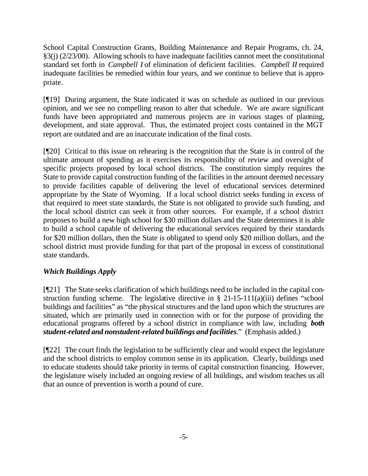School Capital Construction Grants, Building Maintenance and Repair Programs, ch. 24, §3(j) (2/23/00). Allowing schools to have inadequate facilities cannot meet the constitutional standard set forth in *Campbell I* of elimination of deficient facilities. *Campbell II* required inadequate facilities be remedied within four years, and we continue to believe that is appropriate.

[¶19] During argument, the State indicated it was on schedule as outlined in our previous opinion, and we see no compelling reason to alter that schedule. We are aware significant funds have been appropriated and numerous projects are in various stages of planning, development, and state approval. Thus, the estimated project costs contained in the MGT report are outdated and are an inaccurate indication of the final costs.

[¶20] Critical to this issue on rehearing is the recognition that the State is in control of the ultimate amount of spending as it exercises its responsibility of review and oversight of specific projects proposed by local school districts. The constitution simply requires the State to provide capital construction funding of the facilities in the amount deemed necessary to provide facilities capable of delivering the level of educational services determined appropriate by the State of Wyoming. If a local school district seeks funding in excess of that required to meet state standards, the State is not obligated to provide such funding, and the local school district can seek it from other sources. For example, if a school district proposes to build a new high school for \$30 million dollars and the State determines it is able to build a school capable of delivering the educational services required by their standards for \$20 million dollars, then the State is obligated to spend only \$20 million dollars, and the school district must provide funding for that part of the proposal in excess of constitutional state standards.

# *Which Buildings Apply*

[¶21] The State seeks clarification of which buildings need to be included in the capital construction funding scheme. The legislative directive in  $\S$  21-15-111(a)(iii) defines "school buildings and facilities" as "the physical structures and the land upon which the structures are situated, which are primarily used in connection with or for the purpose of providing the educational programs offered by a school district in compliance with law, including *both student-related and nonstudent-related buildings and facilities*."(Emphasis added.)

[¶22] The court finds the legislation to be sufficiently clear and would expect the legislature and the school districts to employ common sense in its application. Clearly, buildings used to educate students should take priority in terms of capital construction financing. However, the legislature wisely included an ongoing review of all buildings, and wisdom teaches us all that an ounce of prevention is worth a pound of cure.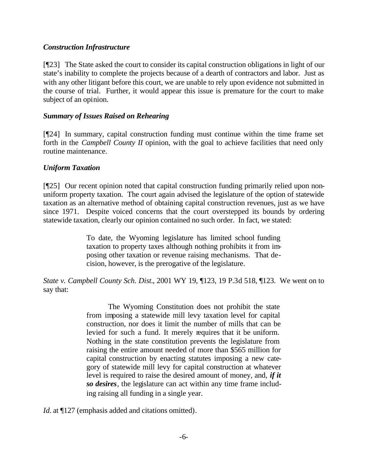## *Construction Infrastructure*

[¶23] The State asked the court to consider its capital construction obligations in light of our state's inability to complete the projects because of a dearth of contractors and labor. Just as with any other litigant before this court, we are unable to rely upon evidence not submitted in the course of trial. Further, it would appear this issue is premature for the court to make subject of an opinion.

## *Summary of Issues Raised on Rehearing*

[¶24] In summary, capital construction funding must continue within the time frame set forth in the *Campbell County II* opinion, with the goal to achieve facilities that need only routine maintenance.

## *Uniform Taxation*

[¶25] Our recent opinion noted that capital construction funding primarily relied upon nonuniform property taxation. The court again advised the legislature of the option of statewide taxation as an alternative method of obtaining capital construction revenues, just as we have since 1971. Despite voiced concerns that the court overstepped its bounds by ordering statewide taxation, clearly our opinion contained no such order. In fact, we stated:

> To date, the Wyoming legislature has limited school funding taxation to property taxes although nothing prohibits it from imposing other taxation or revenue raising mechanisms. That decision, however, is the prerogative of the legislature.

*State v. Campbell County Sch. Dist.*, 2001 WY 19, ¶123, 19 P.3d 518, ¶123. We went on to say that:

> The Wyoming Constitution does not prohibit the state from imposing a statewide mill levy taxation level for capital construction, nor does it limit the number of mills that can be levied for such a fund. It merely requires that it be uniform. Nothing in the state constitution prevents the legislature from raising the entire amount needed of more than \$565 million for capital construction by enacting statutes imposing a new category of statewide mill levy for capital construction at whatever level is required to raise the desired amount of money, and, *if it so desires*, the legislature can act within any time frame including raising all funding in a single year.

*Id.* at  $\P$ 127 (emphasis added and citations omitted).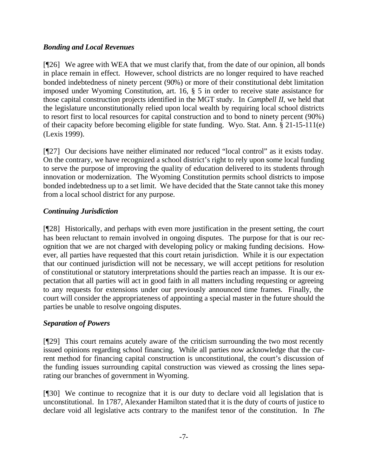# *Bonding and Local Revenues*

[¶26] We agree with WEA that we must clarify that, from the date of our opinion, all bonds in place remain in effect. However, school districts are no longer required to have reached bonded indebtedness of ninety percent (90%) or more of their constitutional debt limitation imposed under Wyoming Constitution, art. 16, § 5 in order to receive state assistance for those capital construction projects identified in the MGT study. In *Campbell II*, we held that the legislature unconstitutionally relied upon local wealth by requiring local school districts to resort first to local resources for capital construction and to bond to ninety percent (90%) of their capacity before becoming eligible for state funding. Wyo. Stat. Ann. § 21-15-111(e) (Lexis 1999).

[¶27] Our decisions have neither eliminated nor reduced "local control" as it exists today. On the contrary, we have recognized a school district's right to rely upon some local funding to serve the purpose of improving the quality of education delivered to its students through innovation or modernization. The Wyoming Constitution permits school districts to impose bonded indebtedness up to a set limit. We have decided that the State cannot take this money from a local school district for any purpose.

## *Continuing Jurisdiction*

[¶28] Historically, and perhaps with even more justification in the present setting, the court has been reluctant to remain involved in ongoing disputes. The purpose for that is our recognition that we are not charged with developing policy or making funding decisions. However, all parties have requested that this court retain jurisdiction. While it is our expectation that our continued jurisdiction will not be necessary, we will accept petitions for resolution of constitutional or statutory interpretations should the parties reach an impasse. It is our expectation that all parties will act in good faith in all matters including requesting or agreeing to any requests for extensions under our previously announced time frames. Finally, the court will consider the appropriateness of appointing a special master in the future should the parties be unable to resolve ongoing disputes.

# *Separation of Powers*

[¶29] This court remains acutely aware of the criticism surrounding the two most recently issued opinions regarding school financing. While all parties now acknowledge that the current method for financing capital construction is unconstitutional, the court's discussion of the funding issues surrounding capital construction was viewed as crossing the lines separating our branches of government in Wyoming.

[¶30] We continue to recognize that it is our duty to declare void all legislation that is unconstitutional. In 1787, Alexander Hamilton stated that it is the duty of courts of justice to declare void all legislative acts contrary to the manifest tenor of the constitution. In *The*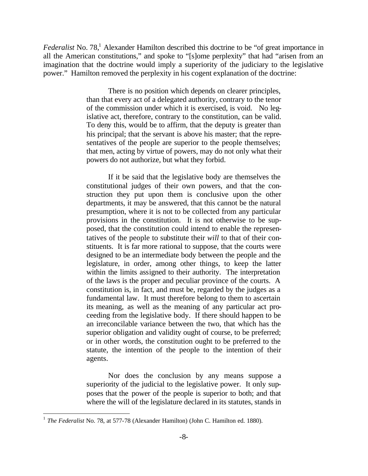Federalist No. 78,<sup>1</sup> Alexander Hamilton described this doctrine to be "of great importance in all the American constitutions," and spoke to "[s]ome perplexity" that had "arisen from an imagination that the doctrine would imply a superiority of the judiciary to the legislative power." Hamilton removed the perplexity in his cogent explanation of the doctrine:

> There is no position which depends on clearer principles, than that every act of a delegated authority, contrary to the tenor of the commission under which it is exercised, is void. No legislative act, therefore, contrary to the constitution, can be valid. To deny this, would be to affirm, that the deputy is greater than his principal; that the servant is above his master; that the representatives of the people are superior to the people themselves; that men, acting by virtue of powers, may do not only what their powers do not authorize, but what they forbid.

> If it be said that the legislative body are themselves the constitutional judges of their own powers, and that the construction they put upon them is conclusive upon the other departments, it may be answered, that this cannot be the natural presumption, where it is not to be collected from any particular provisions in the constitution. It is not otherwise to be supposed, that the constitution could intend to enable the representatives of the people to substitute their *will* to that of their constituents. It is far more rational to suppose, that the courts were designed to be an intermediate body between the people and the legislature, in order, among other things, to keep the latter within the limits assigned to their authority. The interpretation of the laws is the proper and peculiar province of the courts. A constitution is, in fact, and must be, regarded by the judges as a fundamental law. It must therefore belong to them to ascertain its meaning, as well as the meaning of any particular act proceeding from the legislative body. If there should happen to be an irreconcilable variance between the two, that which has the superior obligation and validity ought of course, to be preferred; or in other words, the constitution ought to be preferred to the statute, the intention of the people to the intention of their agents.

> Nor does the conclusion by any means suppose a superiority of the judicial to the legislative power. It only supposes that the power of the people is superior to both; and that where the will of the legislature declared in its statutes, stands in

l

<sup>1</sup> *The Federalist* No. 78, at 577-78 (Alexander Hamilton) (John C. Hamilton ed. 1880).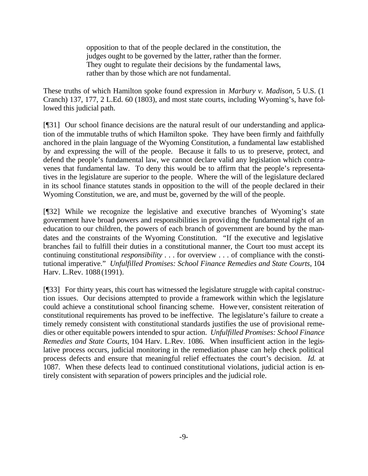opposition to that of the people declared in the constitution, the judges ought to be governed by the latter, rather than the former. They ought to regulate their decisions by the fundamental laws, rather than by those which are not fundamental.

These truths of which Hamilton spoke found expression in *Marbury v. Madison*, 5 U.S. (1 Cranch) 137, 177, 2 L.Ed. 60 (1803), and most state courts, including Wyoming's, have followed this judicial path.

[¶31] Our school finance decisions are the natural result of our understanding and application of the immutable truths of which Hamilton spoke. They have been firmly and faithfully anchored in the plain language of the Wyoming Constitution, a fundamental law established by and expressing the will of the people. Because it falls to us to preserve, protect, and defend the people's fundamental law, we cannot declare valid any legislation which contravenes that fundamental law. To deny this would be to affirm that the people's representatives in the legislature are superior to the people. Where the will of the legislature declared in its school finance statutes stands in opposition to the will of the people declared in their Wyoming Constitution, we are, and must be, governed by the will of the people.

[¶32] While we recognize the legislative and executive branches of Wyoming's state government have broad powers and responsibilities in providing the fundamental right of an education to our children, the powers of each branch of government are bound by the mandates and the constraints of the Wyoming Constitution. "If the executive and legislative branches fail to fulfill their duties in a constitutional manner, the Court too must accept its continuing constitutional *responsibility* . . . for overview . . . of compliance with the constitutional imperative." *Unfulfilled Promises: School Finance Remedies and State Courts,* 104 Harv. L.Rev. 1088 (1991).

[¶33] For thirty years, this court has witnessed the legislature struggle with capital construction issues.Our decisions attempted to provide a framework within which the legislature could achieve a constitutional school financing scheme. However, consistent reiteration of constitutional requirements has proved to be ineffective. The legislature's failure to create a timely remedy consistent with constitutional standards justifies the use of provisional remedies or other equitable powers intended to spur action. *Unfulfilled Promises: School Finance Remedies and State Courts,* 104 Harv. L.Rev. 1086. When insufficient action in the legislative process occurs, judicial monitoring in the remediation phase can help check political process defects and ensure that meaningful relief effectuates the court's decision. *Id.* at 1087. When these defects lead to continued constitutional violations, judicial action is entirely consistent with separation of powers principles and the judicial role.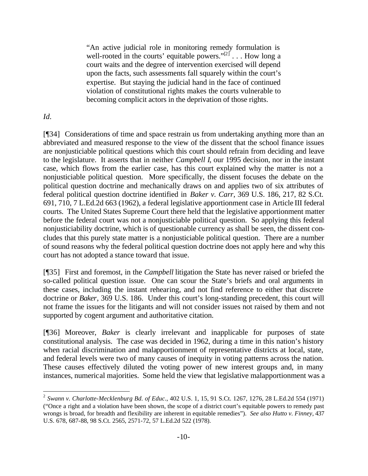"An active judicial role in monitoring remedy formulation is well-rooted in the courts' equitable powers." $[2]$ ... How long a court waits and the degree of intervention exercised will depend upon the facts, such assessments fall squarely within the court's expertise. But staying the judicial hand in the face of continued violation of constitutional rights makes the courts vulnerable to becoming complicit actors in the deprivation of those rights.

## *Id.*

[¶34] Considerations of time and space restrain us from undertaking anything more than an abbreviated and measured response to the view of the dissent that the school finance issues are nonjusticiable political questions which this court should refrain from deciding and leave to the legislature. It asserts that in neither *Campbell I*, our 1995 decision, nor in the instant case, which flows from the earlier case, has this court explained why the matter is not a nonjusticiable political question. More specifically, the dissent focuses the debate on the political question doctrine and mechanically draws on and applies two of six attributes of federal political question doctrine identified in *Baker v. Carr*, 369 U.S. 186, 217, 82 S.Ct. 691, 710, 7 L.Ed.2d 663 (1962), a federal legislative apportionment case in Article III federal courts. The United States Supreme Court there held that the legislative apportionment matter before the federal court was not a nonjusticiable political question. So applying this federal nonjusticiability doctrine, which is of questionable currency as shall be seen, the dissent concludes that this purely state matter is a nonjusticiable political question. There are a number of sound reasons why the federal political question doctrine does not apply here and why this court has not adopted a stance toward that issue.

[¶35] First and foremost, in the *Campbell* litigation the State has never raised or briefed the so-called political question issue. One can scour the State's briefs and oral arguments in these cases, including the instant rehearing, and not find reference to either that discrete doctrine or *Baker*, 369 U.S. 186. Under this court's long-standing precedent, this court will not frame the issues for the litigants and will not consider issues not raised by them and not supported by cogent argument and authoritative citation.

[¶36] Moreover, *Baker* is clearly irrelevant and inapplicable for purposes of state constitutional analysis. The case was decided in 1962, during a time in this nation's history when racial discrimination and malapportionment of representative districts at local, state, and federal levels were two of many causes of inequity in voting patterns across the nation. These causes effectively diluted the voting power of new interest groups and, in many instances, numerical majorities. Some held the view that legislative malapportionment was a

 2 *Swann v. Charlotte-Mecklenburg Bd. of Educ*., 402 U.S. 1, 15, 91 S.Ct. 1267, 1276, 28 L.Ed.2d 554 (1971) ("Once a right and a violation have been shown, the scope of a district court's equitable powers to remedy past wrongs is broad, for breadth and flexibility are inherent in equitable remedies"). *See also Hutto v. Finney*, 437 U.S. 678, 687-88, 98 S.Ct. 2565, 2571-72, 57 L.Ed.2d 522 (1978).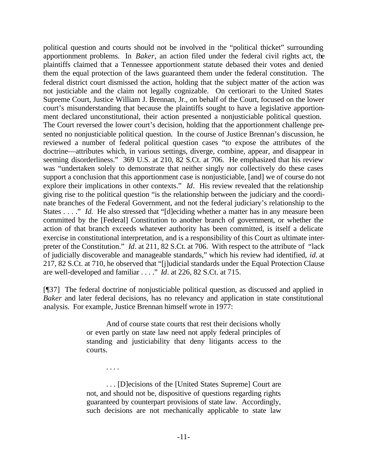political question and courts should not be involved in the "political thicket" surrounding apportionment problems. In *Baker*, an action filed under the federal civil rights act, the plaintiffs claimed that a Tennessee apportionment statute debased their votes and denied them the equal protection of the laws guaranteed them under the federal constitution. The federal district court dismissed the action, holding that the subject matter of the action was not justiciable and the claim not legally cognizable. On certiorari to the United States Supreme Court, Justice William J. Brennan, Jr., on behalf of the Court, focused on the lower court's misunderstanding that because the plaintiffs sought to have a legislative apportionment declared unconstitutional, their action presented a nonjusticiable political question. The Court reversed the lower court's decision, holding that the apportionment challenge presented no nonjusticiable political question. In the course of Justice Brennan's discussion, he reviewed a number of federal political question cases "to expose the attributes of the doctrine—attributes which, in various settings, diverge, combine, appear, and disappear in seeming disorderliness." 369 U.S. at 210, 82 S.Ct. at 706. He emphasized that his review was "undertaken solely to demonstrate that neither singly nor collectively do these cases support a conclusion that this apportionment case is nonjusticiable, [and] we of course do not explore their implications in other contexts." *Id*. His review revealed that the relationship giving rise to the political question "is the relationship between the judiciary and the coordinate branches of the Federal Government, and not the federal judiciary's relationship to the States . . . ." *Id.* He also stressed that "[d]eciding whether a matter has in any measure been committed by the [Federal] Constitution to another branch of government, or whether the action of that branch exceeds whatever authority has been committed, is itself a delicate exercise in constitutional interpretation, and is a responsibility of this Court as ultimate interpreter of the Constitution." *Id*. at 211, 82 S.Ct. at 706. With respect to the attribute of "lack of judicially discoverable and manageable standards," which his review had identified, *id.* at 217, 82 S.Ct. at 710, he observed that "[j]udicial standards under the Equal Protection Clause are well-developed and familiar . . . ." *Id*. at 226, 82 S.Ct. at 715.

[¶37] The federal doctrine of nonjusticiable political question, as discussed and applied in *Baker* and later federal decisions, has no relevancy and application in state constitutional analysis. For example, Justice Brennan himself wrote in 1977:

> And of course state courts that rest their decisions wholly or even partly on state law need not apply federal principles of standing and justiciability that deny litigants access to the courts.

. . . .

. . . [D]ecisions of the [United States Supreme] Court are not, and should not be, dispositive of questions regarding rights guaranteed by counterpart provisions of state law. Accordingly, such decisions are not mechanically applicable to state law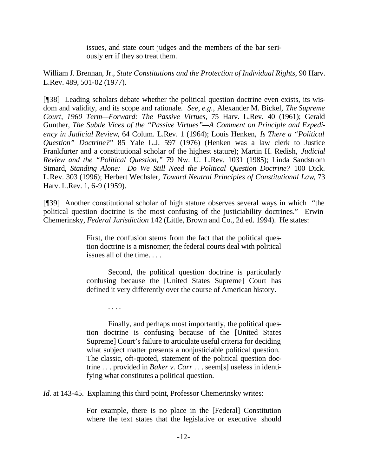issues, and state court judges and the members of the bar seriously err if they so treat them.

William J. Brennan, Jr., *State Constitutions and the Protection of Individual Rights*, 90 Harv. L.Rev. 489, 501-02 (1977).

[¶38] Leading scholars debate whether the political question doctrine even exists, its wisdom and validity, and its scope and rationale. *See, e.g.,* Alexander M. Bickel, *The Supreme Court, 1960 Term—Forward: The Passive Virtues*, 75 Harv. L.Rev. 40 (1961); Gerald Gunther, *The Subtle Vices of the "Passive Virtues"—A Comment on Principle and Expediency in Judicial Review*, 64 Colum. L.Rev. 1 (1964); Louis Henken, *Is There a "Political Question" Doctrine?*" 85 Yale L.J. 597 (1976) (Henken was a law clerk to Justice Frankfurter and a constitutional scholar of the highest stature); Martin H. Redish, *Judicial Review and the "Political Question,"* 79 Nw. U. L.Rev. 1031 (1985); Linda Sandstrom Simard, *Standing Alone: Do We Still Need the Political Question Doctrine?* 100 Dick. L.Rev. 303 (1996); Herbert Wechsler, *Toward Neutral Principles of Constitutional Law*, 73 Harv. L.Rev. 1, 6-9 (1959).

[¶39] Another constitutional scholar of high stature observes several ways in which "the political question doctrine is the most confusing of the justiciability doctrines." Erwin Chemerinsky, *Federal Jurisdiction* 142 (Little, Brown and Co., 2d ed. 1994). He states:

> First, the confusion stems from the fact that the political question doctrine is a misnomer; the federal courts deal with political issues all of the time. . . .

> Second, the political question doctrine is particularly confusing because the [United States Supreme] Court has defined it very differently over the course of American history.

> Finally, and perhaps most importantly, the political question doctrine is confusing because of the [United States Supreme] Court's failure to articulate useful criteria for deciding what subject matter presents a nonjusticiable political question. The classic, oft-quoted, statement of the political question doctrine . . . provided in *Baker v. Carr* . . . seem[s] useless in identifying what constitutes a political question.

*Id.* at 143-45. Explaining this third point, Professor Chemerinsky writes:

. . . .

For example, there is no place in the [Federal] Constitution where the text states that the legislative or executive should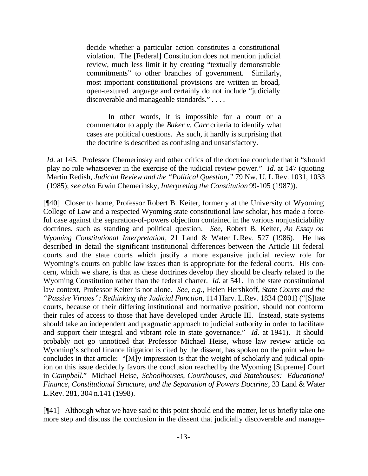decide whether a particular action constitutes a constitutional violation. The [Federal] Constitution does not mention judicial review, much less limit it by creating "textually demonstrable commitments" to other branches of government. Similarly, most important constitutional provisions are written in broad, open-textured language and certainly do not include "judicially discoverable and manageable standards." . . . .

In other words, it is impossible for a court or a commentator to apply the *Baker v. Carr* criteria to identify what cases are political questions. As such, it hardly is surprising that the doctrine is described as confusing and unsatisfactory.

*Id.* at 145. Professor Chemerinsky and other critics of the doctrine conclude that it "should play no role whatsoever in the exercise of the judicial review power." *Id.* at 147 (quoting Martin Redish, *Judicial Review and the "Political Question,"* 79 Nw. U. L.Rev. 1031, 1033 (1985); *see also* Erwin Chemerinsky, *Interpreting the Constitution* 99-105 (1987)).

[¶40] Closer to home, Professor Robert B. Keiter, formerly at the University of Wyoming College of Law and a respected Wyoming state constitutional law scholar, has made a forceful case against the separation-of-powers objection contained in the various nonjusticiability doctrines, such as standing and political question. *See,* Robert B. Keiter*, An Essay on Wyoming Constitutional Interpretation*, 21 Land & Water L.Rev. 527 (1986). He has described in detail the significant institutional differences between the Article III federal courts and the state courts which justify a more expansive judicial review role for Wyoming's courts on public law issues than is appropriate for the federal courts. His concern, which we share, is that as these doctrines develop they should be clearly related to the Wyoming Constitution rather than the federal charter. *Id.* at 541. In the state constitutional law context, Professor Keiter is not alone. *See, e.g.,* Helen Hershkoff, S*tate Courts and the "Passive Virtues": Rethinking the Judicial Function*, 114 Harv. L.Rev. 1834 (2001) ("[S]tate courts, because of their differing institutional and normative position, should not conform their rules of access to those that have developed under Article III. Instead, state systems should take an independent and pragmatic approach to judicial authority in order to facilitate and support their integral and vibrant role in state governance." *Id*. at 1941). It should probably not go unnoticed that Professor Michael Heise, whose law review article on Wyoming's school finance litigation is cited by the dissent, has spoken on the point when he concludes in that article: "[M]y impression is that the weight of scholarly and judicial opinion on this issue decidedly favors the conclusion reached by the Wyoming [Supreme] Court in *Campbell.*" Michael Heise, *Schoolhouses, Courthouses, and Statehouses: Educational Finance, Constitutional Structure, and the Separation of Powers Doctrine*, 33 Land & Water L.Rev. 281, 304 n.141 (1998).

[¶41] Although what we have said to this point should end the matter, let us briefly take one more step and discuss the conclusion in the dissent that judicially discoverable and manage-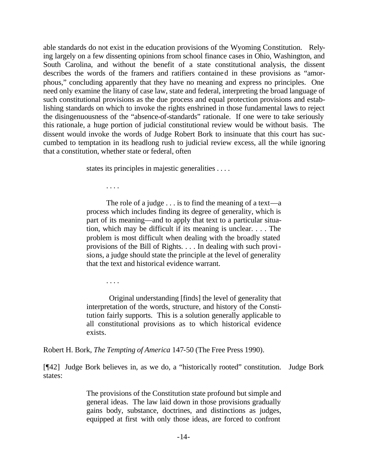able standards do not exist in the education provisions of the Wyoming Constitution. Relying largely on a few dissenting opinions from school finance cases in Ohio, Washington, and South Carolina, and without the benefit of a state constitutional analysis, the dissent describes the words of the framers and ratifiers contained in these provisions as "amorphous," concluding apparently that they have no meaning and express no principles. One need only examine the litany of case law, state and federal, interpreting the broad language of such constitutional provisions as the due process and equal protection provisions and establishing standards on which to invoke the rights enshrined in those fundamental laws to reject the disingenuousness of the "absence-of-standards" rationale. If one were to take seriously this rationale, a huge portion of judicial constitutional review would be without basis. The dissent would invoke the words of Judge Robert Bork to insinuate that this court has succumbed to temptation in its headlong rush to judicial review excess, all the while ignoring that a constitution, whether state or federal, often

states its principles in majestic generalities . . . .

The role of a judge  $\dots$  is to find the meaning of a text—a process which includes finding its degree of generality, which is part of its meaning—and to apply that text to a particular situation, which may be difficult if its meaning is unclear. . . . The problem is most difficult when dealing with the broadly stated provisions of the Bill of Rights. . . . In dealing with such provisions, a judge should state the principle at the level of generality that the text and historical evidence warrant.

. . . .

. . . .

Original understanding [finds] the level of generality that interpretation of the words, structure, and history of the Constitution fairly supports. This is a solution generally applicable to all constitutional provisions as to which historical evidence exists.

Robert H. Bork, *The Tempting of America* 147-50 (The Free Press 1990).

[¶42] Judge Bork believes in, as we do, a "historically rooted" constitution. Judge Bork states:

> The provisions of the Constitution state profound but simple and general ideas. The law laid down in those provisions gradually gains body, substance, doctrines, and distinctions as judges, equipped at first with only those ideas, are forced to confront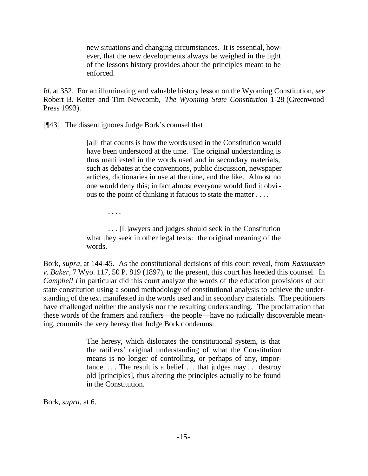new situations and changing circumstances. It is essential, however, that the new developments always be weighed in the light of the lessons history provides about the principles meant to be enforced.

*Id*. at 352. For an illuminating and valuable history lesson on the Wyoming Constitution, *see* Robert B. Keiter and Tim Newcomb, *The Wyoming State Constitution* 1-28 (Greenwood Press 1993).

[¶43] The dissent ignores Judge Bork's counsel that

[a]ll that counts is how the words used in the Constitution would have been understood at the time. The original understanding is thus manifested in the words used and in secondary materials, such as debates at the conventions, public discussion, newspaper articles, dictionaries in use at the time, and the like. Almost no one would deny this; in fact almost everyone would find it obvious to the point of thinking it fatuous to state the matter . . . .

. . . .

. . . [L]awyers and judges should seek in the Constitution what they seek in other legal texts: the original meaning of the words.

Bork, *supra,* at 144-45. As the constitutional decisions of this court reveal, from *Rasmussen v. Baker*, 7 Wyo. 117, 50 P. 819 (1897), to the present, this court has heeded this counsel. In *Campbell I* in particular did this court analyze the words of the education provisions of our state constitution using a sound methodology of constitutional analysis to achieve the understanding of the text manifested in the words used and in secondary materials. The petitioners have challenged neither the analysis nor the resulting understanding. The proclamation that these words of the framers and ratifiers—the people—have no judicially discoverable meaning, commits the very heresy that Judge Bork condemns:

> The heresy, which dislocates the constitutional system, is that the ratifiers' original understanding of what the Constitution means is no longer of controlling, or perhaps of any, importance.  $\ldots$  The result is a belief  $\ldots$  that judges may  $\ldots$  destroy old [principles], thus altering the principles actually to be found in the Constitution.

Bork, *supra,* at 6.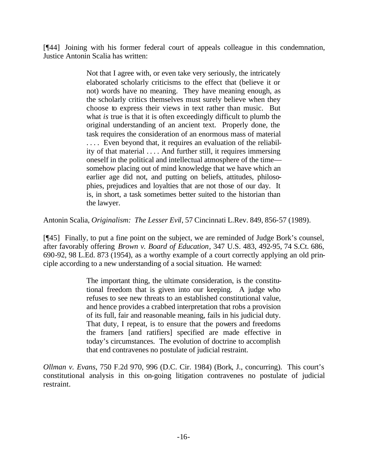[¶44] Joining with his former federal court of appeals colleague in this condemnation, Justice Antonin Scalia has written:

> Not that I agree with, or even take very seriously, the intricately elaborated scholarly criticisms to the effect that (believe it or not) words have no meaning. They have meaning enough, as the scholarly critics themselves must surely believe when they choose to express their views in text rather than music. But what *is* true is that it is often exceedingly difficult to plumb the original understanding of an ancient text. Properly done, the task requires the consideration of an enormous mass of material . . . . Even beyond that, it requires an evaluation of the reliability of that material . . . . And further still, it requires immersing oneself in the political and intellectual atmosphere of the time somehow placing out of mind knowledge that we have which an earlier age did not, and putting on beliefs, attitudes, philosophies, prejudices and loyalties that are not those of our day. It is, in short, a task sometimes better suited to the historian than the lawyer.

Antonin Scalia, *Originalism: The Lesser Evil*, 57 Cincinnati L.Rev. 849, 856-57 (1989).

[¶45] Finally, to put a fine point on the subject, we are reminded of Judge Bork's counsel, after favorably offering *Brown v. Board of Education*, 347 U.S. 483, 492-95, 74 S.Ct. 686, 690-92, 98 L.Ed. 873 (1954), as a worthy example of a court correctly applying an old principle according to a new understanding of a social situation. He warned:

> The important thing, the ultimate consideration, is the constitutional freedom that is given into our keeping. A judge who refuses to see new threats to an established constitutional value, and hence provides a crabbed interpretation that robs a provision of its full, fair and reasonable meaning, fails in his judicial duty. That duty, I repeat, is to ensure that the powers and freedoms the framers [and ratifiers] specified are made effective in today's circumstances. The evolution of doctrine to accomplish that end contravenes no postulate of judicial restraint.

*Ollman v. Evans*, 750 F.2d 970, 996 (D.C. Cir. 1984) (Bork, J., concurring). This court's constitutional analysis in this on-going litigation contravenes no postulate of judicial restraint.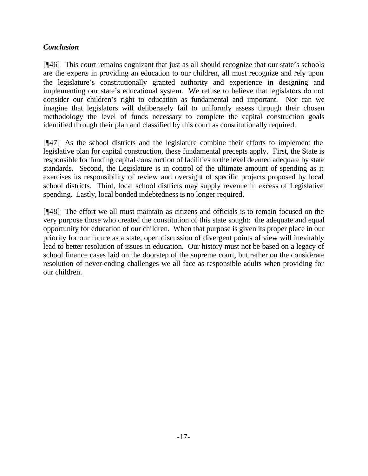# *Conclusion*

[¶46] This court remains cognizant that just as all should recognize that our state's schools are the experts in providing an education to our children, all must recognize and rely upon the legislature's constitutionally granted authority and experience in designing and implementing our state's educational system. We refuse to believe that legislators do not consider our children's right to education as fundamental and important. Nor can we imagine that legislators will deliberately fail to uniformly assess through their chosen methodology the level of funds necessary to complete the capital construction goals identified through their plan and classified by this court as constitutionally required.

[¶47] As the school districts and the legislature combine their efforts to implement the legislative plan for capital construction, these fundamental precepts apply. First, the State is responsible for funding capital construction of facilities to the level deemed adequate by state standards. Second, the Legislature is in control of the ultimate amount of spending as it exercises its responsibility of review and oversight of specific projects proposed by local school districts. Third, local school districts may supply revenue in excess of Legislative spending. Lastly, local bonded indebtedness is no longer required.

[¶48] The effort we all must maintain as citizens and officials is to remain focused on the very purpose those who created the constitution of this state sought: the adequate and equal opportunity for education of our children. When that purpose is given its proper place in our priority for our future as a state, open discussion of divergent points of view will inevitably lead to better resolution of issues in education. Our history must not be based on a legacy of school finance cases laid on the doorstep of the supreme court, but rather on the considerate resolution of never-ending challenges we all face as responsible adults when providing for our children.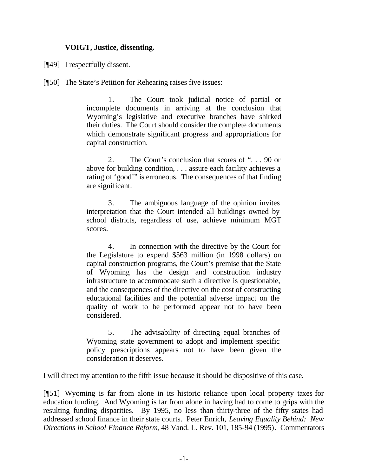## **VOIGT, Justice, dissenting.**

[¶49] I respectfully dissent.

[¶50] The State's Petition for Rehearing raises five issues:

1. The Court took judicial notice of partial or incomplete documents in arriving at the conclusion that Wyoming's legislative and executive branches have shirked their duties. The Court should consider the complete documents which demonstrate significant progress and appropriations for capital construction.

2. The Court's conclusion that scores of ". . . 90 or above for building condition, . . . assure each facility achieves a rating of 'good'" is erroneous. The consequences of that finding are significant.

3. The ambiguous language of the opinion invites interpretation that the Court intended all buildings owned by school districts, regardless of use, achieve minimum MGT scores.

4. In connection with the directive by the Court for the Legislature to expend \$563 million (in 1998 dollars) on capital construction programs, the Court's premise that the State of Wyoming has the design and construction industry infrastructure to accommodate such a directive is questionable, and the consequences of the directive on the cost of constructing educational facilities and the potential adverse impact on the quality of work to be performed appear not to have been considered.

5. The advisability of directing equal branches of Wyoming state government to adopt and implement specific policy prescriptions appears not to have been given the consideration it deserves.

I will direct my attention to the fifth issue because it should be dispositive of this case.

[¶51] Wyoming is far from alone in its historic reliance upon local property taxes for education funding. And Wyoming is far from alone in having had to come to grips with the resulting funding disparities. By 1995, no less than thirty-three of the fifty states had addressed school finance in their state courts. Peter Enrich, *Leaving Equality Behind: New Directions in School Finance Reform*, 48 Vand. L. Rev. 101, 185-94 (1995). Commentators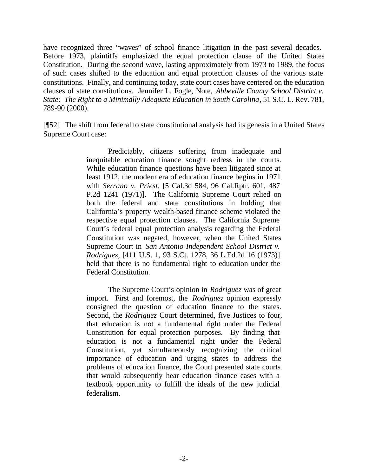have recognized three "waves" of school finance litigation in the past several decades. Before 1973, plaintiffs emphasized the equal protection clause of the United States Constitution. During the second wave, lasting approximately from 1973 to 1989, the focus of such cases shifted to the education and equal protection clauses of the various state constitutions. Finally, and continuing today, state court cases have centered on the education clauses of state constitutions. Jennifer L. Fogle, Note, *Abbeville County School District v. State: The Right to a Minimally Adequate Education in South Carolina*, 51 S.C. L. Rev. 781, 789-90 (2000).

[¶52] The shift from federal to state constitutional analysis had its genesis in a United States Supreme Court case:

> Predictably, citizens suffering from inadequate and inequitable education finance sought redress in the courts. While education finance questions have been litigated since at least 1912, the modern era of education finance begins in 1971 with *Serrano v. Priest*, [5 Cal.3d 584, 96 Cal.Rptr. 601, 487 P.2d 1241 (1971)]. The California Supreme Court relied on both the federal and state constitutions in holding that California's property wealth-based finance scheme violated the respective equal protection clauses. The California Supreme Court's federal equal protection analysis regarding the Federal Constitution was negated, however, when the United States Supreme Court in *San Antonio Independent School District v. Rodriguez*, [411 U.S. 1, 93 S.Ct. 1278, 36 L.Ed.2d 16 (1973)] held that there is no fundamental right to education under the Federal Constitution.

> The Supreme Court's opinion in *Rodriguez* was of great import. First and foremost, the *Rodriguez* opinion expressly consigned the question of education finance to the states. Second, the *Rodriguez* Court determined, five Justices to four, that education is not a fundamental right under the Federal Constitution for equal protection purposes. By finding that education is not a fundamental right under the Federal Constitution, yet simultaneously recognizing the critical importance of education and urging states to address the problems of education finance, the Court presented state courts that would subsequently hear education finance cases with a textbook opportunity to fulfill the ideals of the new judicial federalism.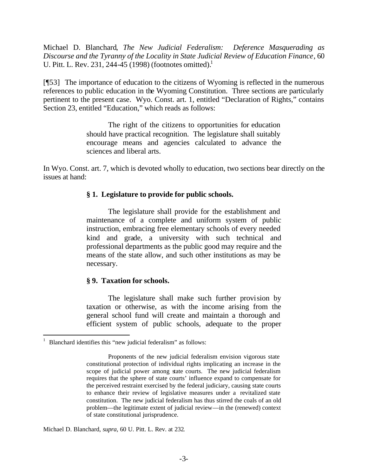Michael D. Blanchard, *The New Judicial Federalism: Deference Masquerading as Discourse and the Tyranny of the Locality in State Judicial Review of Education Finance*, 60 U. Pitt. L. Rev. 231, 244-45 (1998) (footnotes omitted).<sup>1</sup>

[¶53] The importance of education to the citizens of Wyoming is reflected in the numerous references to public education in the Wyoming Constitution. Three sections are particularly pertinent to the present case. Wyo. Const. art. 1, entitled "Declaration of Rights," contains Section 23, entitled "Education," which reads as follows:

> The right of the citizens to opportunities for education should have practical recognition. The legislature shall suitably encourage means and agencies calculated to advance the sciences and liberal arts.

In Wyo. Const. art. 7, which is devoted wholly to education, two sections bear directly on the issues at hand:

#### **§ 1. Legislature to provide for public schools.**

The legislature shall provide for the establishment and maintenance of a complete and uniform system of public instruction, embracing free elementary schools of every needed kind and grade, a university with such technical and professional departments as the public good may require and the means of the state allow, and such other institutions as may be necessary.

#### **§ 9. Taxation for schools.**

The legislature shall make such further provision by taxation or otherwise, as with the income arising from the general school fund will create and maintain a thorough and efficient system of public schools, adequate to the proper

l

Michael D. Blanchard, *supra*, 60 U. Pitt. L. Rev. at 232.

<sup>1</sup> Blanchard identifies this "new judicial federalism" as follows:

Proponents of the new judicial federalism envision vigorous state constitutional protection of individual rights implicating an increase in the scope of judicial power among state courts. The new judicial federalism requires that the sphere of state courts' influence expand to compensate for the perceived restraint exercised by the federal judiciary, causing state courts to enhance their review of legislative measures under a revitalized state constitution. The new judicial federalism has thus stirred the coals of an old problem—the legitimate extent of judicial review—in the (renewed) context of state constitutional jurisprudence.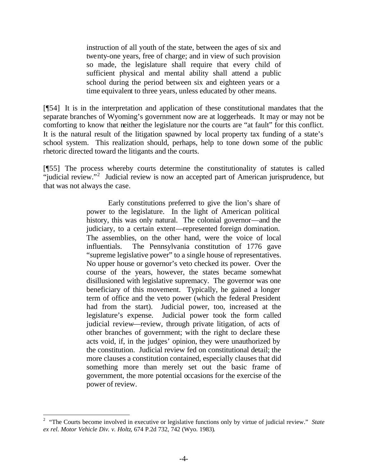instruction of all youth of the state, between the ages of six and twenty-one years, free of charge; and in view of such provision so made, the legislature shall require that every child of sufficient physical and mental ability shall attend a public school during the period between six and eighteen years or a time equivalent to three years, unless educated by other means.

[¶54] It is in the interpretation and application of these constitutional mandates that the separate branches of Wyoming's government now are at loggerheads. It may or may not be comforting to know that neither the legislature nor the courts are "at fault" for this conflict. It is the natural result of the litigation spawned by local property tax funding of a state's school system. This realization should, perhaps, help to tone down some of the public rhetoric directed toward the litigants and the courts.

[¶55] The process whereby courts determine the constitutionality of statutes is called "judicial review."<sup>2</sup> Judicial review is now an accepted part of American jurisprudence, but that was not always the case.

> Early constitutions preferred to give the lion's share of power to the legislature. In the light of American political history, this was only natural. The colonial governor—and the judiciary, to a certain extent—represented foreign domination. The assemblies, on the other hand, were the voice of local influentials. The Pennsylvania constitution of 1776 gave "supreme legislative power" to a single house of representatives. No upper house or governor's veto checked its power. Over the course of the years, however, the states became somewhat disillusioned with legislative supremacy. The governor was one beneficiary of this movement. Typically, he gained a longer term of office and the veto power (which the federal President had from the start). Judicial power, too, increased at the legislature's expense. Judicial power took the form called judicial review—review, through private litigation, of acts of other branches of government; with the right to declare these acts void, if, in the judges' opinion, they were unauthorized by the constitution. Judicial review fed on constitutional detail; the more clauses a constitution contained, especially clauses that did something more than merely set out the basic frame of government, the more potential occasions for the exercise of the power of review.

l

<sup>&</sup>lt;sup>2</sup> "The Courts become involved in executive or legislative functions only by virtue of judicial review." *State ex rel. Motor Vehicle Div. v. Holtz*, 674 P.2d 732, 742 (Wyo. 1983).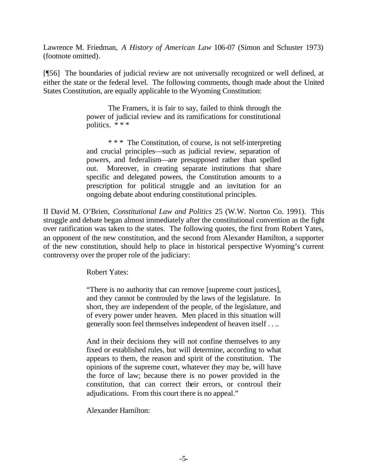Lawrence M. Friedman, *A History of American Law* 106-07 (Simon and Schuster 1973) (footnote omitted).

[¶56] The boundaries of judicial review are not universally recognized or well defined, at either the state or the federal level. The following comments, though made about the United States Constitution, are equally applicable to the Wyoming Constitution:

> The Framers, it is fair to say, failed to think through the power of judicial review and its ramifications for constitutional politics. \* \* \*

> \* \* \* The Constitution, of course, is not self-interpreting and crucial principles—such as judicial review, separation of powers, and federalism—are presupposed rather than spelled out. Moreover, in creating separate institutions that share specific and delegated powers, the Constitution amounts to a prescription for political struggle and an invitation for an ongoing debate about enduring constitutional principles.

II David M. O'Brien, *Constitutional Law and Politics* 25 (W.W. Norton Co. 1991). This struggle and debate began almost immediately after the constitutional convention as the fight over ratification was taken to the states. The following quotes, the first from Robert Yates, an opponent of the new constitution, and the second from Alexander Hamilton, a supporter of the new constitution, should help to place in historical perspective Wyoming's current controversy over the proper role of the judiciary:

Robert Yates:

"There is no authority that can remove [supreme court justices], and they cannot be controuled by the laws of the legislature. In short, they are independent of the people, of the legislature, and of every power under heaven. Men placed in this situation will generally soon feel themselves independent of heaven itself . . ..

And in their decisions they will not confine themselves to any fixed or established rules, but will determine, according to what appears to them, the reason and spirit of the constitution. The opinions of the supreme court, whatever they may be, will have the force of law; because there is no power provided in the constitution, that can correct their errors, or controul their adjudications. From this court there is no appeal."

Alexander Hamilton: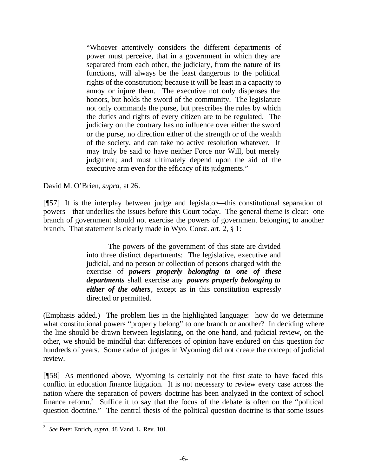"Whoever attentively considers the different departments of power must perceive, that in a government in which they are separated from each other, the judiciary, from the nature of its functions, will always be the least dangerous to the political rights of the constitution; because it will be least in a capacity to annoy or injure them. The executive not only dispenses the honors, but holds the sword of the community. The legislature not only commands the purse, but prescribes the rules by which the duties and rights of every citizen are to be regulated. The judiciary on the contrary has no influence over either the sword or the purse, no direction either of the strength or of the wealth of the society, and can take no active resolution whatever. It may truly be said to have neither Force nor Will, but merely judgment; and must ultimately depend upon the aid of the executive arm even for the efficacy of its judgments."

David M. O'Brien, *supra*, at 26.

[¶57] It is the interplay between judge and legislator—this constitutional separation of powers—that underlies the issues before this Court today. The general theme is clear: one branch of government should not exercise the powers of government belonging to another branch. That statement is clearly made in Wyo. Const. art. 2, § 1:

> The powers of the government of this state are divided into three distinct departments: The legislative, executive and judicial, and no person or collection of persons charged with the exercise of *powers properly belonging to one of these departments* shall exercise any *powers properly belonging to either of the others*, except as in this constitution expressly directed or permitted.

(Emphasis added.) The problem lies in the highlighted language: how do we determine what constitutional powers "properly belong" to one branch or another? In deciding where the line should be drawn between legislating, on the one hand, and judicial review, on the other, we should be mindful that differences of opinion have endured on this question for hundreds of years. Some cadre of judges in Wyoming did not create the concept of judicial review.

[¶58] As mentioned above, Wyoming is certainly not the first state to have faced this conflict in education finance litigation. It is not necessary to review every case across the nation where the separation of powers doctrine has been analyzed in the context of school finance reform.<sup>3</sup> Suffice it to say that the focus of the debate is often on the "political" question doctrine." The central thesis of the political question doctrine is that some issues

l

<sup>3</sup> *See* Peter Enrich, *supra*, 48 Vand. L. Rev. 101.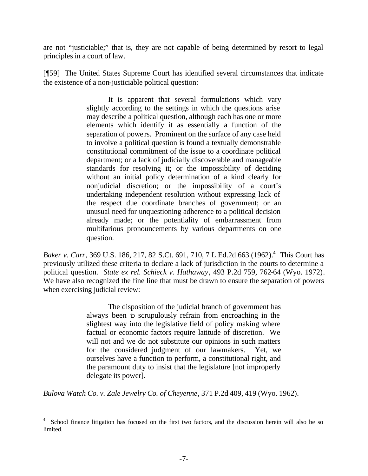are not "justiciable;" that is, they are not capable of being determined by resort to legal principles in a court of law.

[¶59] The United States Supreme Court has identified several circumstances that indicate the existence of a non-justiciable political question:

> It is apparent that several formulations which vary slightly according to the settings in which the questions arise may describe a political question, although each has one or more elements which identify it as essentially a function of the separation of powers. Prominent on the surface of any case held to involve a political question is found a textually demonstrable constitutional commitment of the issue to a coordinate political department; or a lack of judicially discoverable and manageable standards for resolving it; or the impossibility of deciding without an initial policy determination of a kind clearly for nonjudicial discretion; or the impossibility of a court's undertaking independent resolution without expressing lack of the respect due coordinate branches of government; or an unusual need for unquestioning adherence to a political decision already made; or the potentiality of embarrassment from multifarious pronouncements by various departments on one question.

*Baker v. Carr*, 369 U.S. 186, 217, 82 S.Ct. 691, 710, 7 L.Ed.2d 663 (1962). 4 This Court has previously utilized these criteria to declare a lack of jurisdiction in the courts to determine a political question. *State ex rel. Schieck v. Hathaway*, 493 P.2d 759, 762-64 (Wyo. 1972). We have also recognized the fine line that must be drawn to ensure the separation of powers when exercising judicial review:

> The disposition of the judicial branch of government has always been to scrupulously refrain from encroaching in the slightest way into the legislative field of policy making where factual or economic factors require latitude of discretion. We will not and we do not substitute our opinions in such matters for the considered judgment of our lawmakers. Yet, we ourselves have a function to perform, a constitutional right, and the paramount duty to insist that the legislature [not improperly delegate its power].

*Bulova Watch Co. v. Zale Jewelry Co. of Cheyenne*, 371 P.2d 409, 419 (Wyo. 1962).

l 4 School finance litigation has focused on the first two factors, and the discussion herein will also be so limited.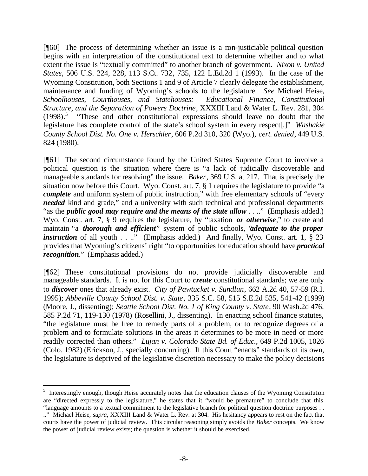[¶60] The process of determining whether an issue is a non-justiciable political question begins with an interpretation of the constitutional text to determine whether and to what extent the issue is "textually committed" to another branch of government. *Nixon v. United States*, 506 U.S. 224, 228, 113 S.Ct. 732, 735, 122 L.Ed.2d 1 (1993). In the case of the Wyoming Constitution, both Sections 1 and 9 of Article 7 clearly delegate the establishment, maintenance and funding of Wyoming's schools to the legislature. *See* Michael Heise, *Schoolhouses, Courthouses, and Statehouses: Educational Finance, Constitutional Structure, and the Separation of Powers Doctrine*, XXXIII Land & Water L. Rev. 281, 304  $(1998).$ <sup>5</sup> "These and other constitutional expressions should leave no doubt that the legislature has complete control of the state's school system in every respect[.]" *Washakie County School Dist. No. One v. Herschler*, 606 P.2d 310, 320 (Wyo.), *cert. denied*, 449 U.S. 824 (1980).

[¶61] The second circumstance found by the United States Supreme Court to involve a political question is the situation where there is "a lack of judicially discoverable and manageable standards for resolving" the issue. *Baker*, 369 U.S. at 217. That is precisely the situation now before this Court. Wyo. Const. art. 7, § 1 requires the legislature to provide "a *complete* and uniform system of public instruction," with free elementary schools of "every" *needed* kind and grade," and a university with such technical and professional departments "as the *public good may require and the means of the state allow* . . .." (Emphasis added.) Wyo. Const. art. 7, § 9 requires the legislature, by "taxation *or otherwise*," to create and maintain "a *thorough and efficient*" system of public schools, "*adequate to the proper instruction* of all youth . . .." (Emphasis added.) And finally, Wyo. Const. art. 1, § 23 provides that Wyoming's citizens' right "to opportunities for education should have *practical recognition*." (Emphasis added.)

[¶62] These constitutional provisions do not provide judicially discoverable and manageable standards. It is not for this Court to *create* constitutional standards; we are only to *discover* ones that already exist. *City of Pawtucket v. Sundlun*, 662 A.2d 40, 57-59 (R.I. 1995); *Abbeville County School Dist. v. State*, 335 S.C. 58, 515 S.E.2d 535, 541-42 (1999) (Moore, J., dissenting); *Seattle School Dist. No. 1 of King County v. State*, 90 Wash.2d 476, 585 P.2d 71, 119-130 (1978) (Rosellini, J., dissenting). In enacting school finance statutes, "the legislature must be free to remedy parts of a problem, or to recognize degrees of a problem and to formulate solutions in the areas it determines to be more in need or more readily corrected than others." *Lujan v. Colorado State Bd. of Educ.*, 649 P.2d 1005, 1026 (Colo. 1982) (Erickson, J., specially concurring). If this Court "enacts" standards of its own, the legislature is deprived of the legislative discretion necessary to make the policy decisions

l

<sup>&</sup>lt;sup>5</sup> Interestingly enough, though Heise accurately notes that the education clauses of the Wyoming Constitution are "directed expressly to the legislature," he states that it "would be premature" to conclude that this "language amounts to a textual commitment to the legislative branch for political question doctrine purposes . . .." Michael Heise, *supra*, XXXIII Land & Water L. Rev. at 304. His hesitancy appears to rest on the fact that courts have the power of judicial review. This circular reasoning simply avoids the *Baker* concepts. We know the power of judicial review exists; the question is whether it should be exercised.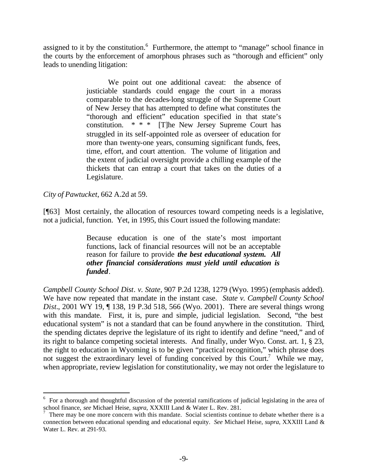assigned to it by the constitution.<sup>6</sup> Furthermore, the attempt to "manage" school finance in the courts by the enforcement of amorphous phrases such as "thorough and efficient" only leads to unending litigation:

> We point out one additional caveat: the absence of justiciable standards could engage the court in a morass comparable to the decades-long struggle of the Supreme Court of New Jersey that has attempted to define what constitutes the "thorough and efficient" education specified in that state's constitution. \* \* \* [T]he New Jersey Supreme Court has struggled in its self-appointed role as overseer of education for more than twenty-one years, consuming significant funds, fees, time, effort, and court attention. The volume of litigation and the extent of judicial oversight provide a chilling example of the thickets that can entrap a court that takes on the duties of a Legislature.

*City of Pawtucket*, 662 A.2d at 59.

l

[¶63] Most certainly, the allocation of resources toward competing needs is a legislative, not a judicial, function. Yet, in 1995, this Court issued the following mandate:

> Because education is one of the state's most important functions, lack of financial resources will not be an acceptable reason for failure to provide *the best educational system. All other financial considerations must yield until education is funded*.

*Campbell County School Dist. v. State*, 907 P.2d 1238, 1279 (Wyo. 1995) (emphasis added). We have now repeated that mandate in the instant case. *State v. Campbell County School Dist.*, 2001 WY 19, ¶ 138, 19 P.3d 518, 566 (Wyo. 2001). There are several things wrong with this mandate. First, it is, pure and simple, judicial legislation. Second, "the best educational system" is not a standard that can be found anywhere in the constitution. Third, the spending dictates deprive the legislature of its right to identify and define "need," and of its right to balance competing societal interests. And finally, under Wyo. Const. art. 1, § 23, the right to education in Wyoming is to be given "practical recognition," which phrase does not suggest the extraordinary level of funding conceived by this Court.<sup>7</sup> While we may, when appropriate, review legislation for constitutionality, we may not order the legislature to

<sup>6</sup> For a thorough and thoughtful discussion of the potential ramifications of judicial legislating in the area of school finance, *see* Michael Heise, *supra*, XXXIII Land & Water L. Rev. 281.

<sup>7</sup> There may be one more concern with this mandate. Social scientists continue to debate whether there is a connection between educational spending and educational equity. *See* Michael Heise, *supra*, XXXIII Land & Water L. Rev. at 291-93.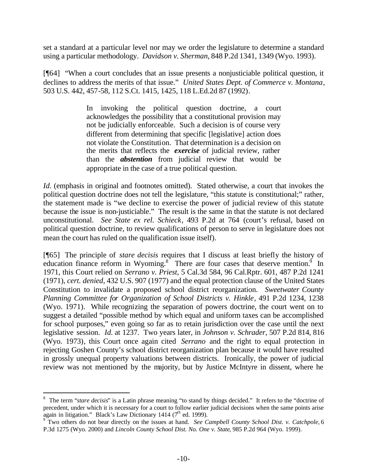set a standard at a particular level nor may we order the legislature to determine a standard using a particular methodology. *Davidson v. Sherman*, 848 P.2d 1341, 1349 (Wyo. 1993).

[¶64] "When a court concludes that an issue presents a nonjusticiable political question, it declines to address the merits of that issue." *United States Dept. of Commerce v. Montana*, 503 U.S. 442, 457-58, 112 S.Ct. 1415, 1425, 118 L.Ed.2d 87 (1992).

> In invoking the political question doctrine, a court acknowledges the possibility that a constitutional provision may not be judicially enforceable. Such a decision is of course very different from determining that specific [legislative] action does not violate the Constitution. That determination is a decision on the merits that reflects the *exercise* of judicial review, rather than the *abstention* from judicial review that would be appropriate in the case of a true political question.

*Id.* (emphasis in original and footnotes omitted). Stated otherwise, a court that invokes the political question doctrine does not tell the legislature, "this statute is constitutional;" rather, the statement made is "we decline to exercise the power of judicial review of this statute because the issue is non-justiciable." The result is the same in that the statute is not declared unconstitutional. *See State ex rel. Schieck*, 493 P.2d at 764 (court's refusal, based on political question doctrine, to review qualifications of person to serve in legislature does not mean the court has ruled on the qualification issue itself).

[¶65] The principle of *stare decisis* requires that I discuss at least briefly the history of education finance reform in Wyoming.<sup>8</sup> There are four cases that deserve mention.<sup>9</sup> In 1971, this Court relied on *Serrano v. Priest*, 5 Cal.3d 584, 96 Cal.Rptr. 601, 487 P.2d 1241 (1971), *cert. denied*, 432 U.S. 907 (1977) and the equal protection clause of the United States Constitution to invalidate a proposed school district reorganization. *Sweetwater County Planning Committee for Organization of School Districts v. Hinkle*, 491 P.2d 1234, 1238 (Wyo. 1971). While recognizing the separation of powers doctrine, the court went on to suggest a detailed "possible method by which equal and uniform taxes can be accomplished for school purposes," even going so far as to retain jurisdiction over the case until the next legislative session. *Id.* at 1237. Two years later, in *Johnson v. Schrader*, 507 P.2d 814, 816 (Wyo. 1973), this Court once again cited *Serrano* and the right to equal protection in rejecting Goshen County's school district reorganization plan because it would have resulted in grossly unequal property valuations between districts. Ironically, the power of judicial review was not mentioned by the majority, but by Justice McIntyre in dissent, where he

l

<sup>&</sup>lt;sup>8</sup> The term "*stare decisis*" is a Latin phrase meaning "to stand by things decided." It refers to the "doctrine of precedent, under which it is necessary for a court to follow earlier judicial decisions when the same points arise again in litigation." Black's Law Dictionary 1414 (7<sup>th</sup> ed. 1999).<br><sup>9</sup> Two others do not bear directly on the issues at hand. *See Campbell County School Dist. v. Catchpole*, 6

P.3d 1275 (Wyo. 2000) and *Lincoln County School Dist. No. One v. State*, 985 P.2d 964 (Wyo. 1999).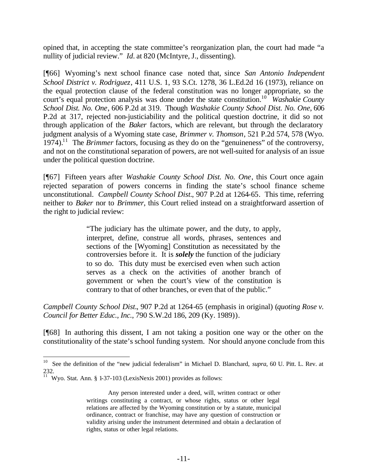opined that, in accepting the state committee's reorganization plan, the court had made "a nullity of judicial review." *Id.* at 820 (McIntyre, J., dissenting).

[¶66] Wyoming's next school finance case noted that, since *San Antonio Independent School District v. Rodriguez*, 411 U.S. 1, 93 S.Ct. 1278, 36 L.Ed.2d 16 (1973), reliance on the equal protection clause of the federal constitution was no longer appropriate, so the court's equal protection analysis was done under the state constitution.<sup>10</sup> *Washakie County School Dist. No. One*, 606 P.2d at 319. Though *Washakie County School Dist. No. One*, 606 P.2d at 317, rejected non-justiciability and the political question doctrine, it did so not through application of the *Baker* factors, which are relevant, but through the declaratory judgment analysis of a Wyoming state case, *Brimmer v. Thomson*, 521 P.2d 574, 578 (Wyo.  $1974$ <sup>11</sup> The *Brimmer* factors, focusing as they do on the "genuineness" of the controversy, and not on the constitutional separation of powers, are not well-suited for analysis of an issue under the political question doctrine.

[¶67] Fifteen years after *Washakie County School Dist. No. One*, this Court once again rejected separation of powers concerns in finding the state's school finance scheme unconstitutional. *Campbell County School Dist.*, 907 P.2d at 1264-65. This time, referring neither to *Baker* nor to *Brimmer*, this Court relied instead on a straightforward assertion of the right to judicial review:

> "The judiciary has the ultimate power, and the duty, to apply, interpret, define, construe all words, phrases, sentences and sections of the [Wyoming] Constitution as necessitated by the controversies before it. It is *solely* the function of the judiciary to so do. This duty must be exercised even when such action serves as a check on the activities of another branch of government or when the court's view of the constitution is contrary to that of other branches, or even that of the public."

*Campbell County School Dist.*, 907 P.2d at 1264-65 (emphasis in original) (*quoting Rose v. Council for Better Educ., Inc.*, 790 S.W.2d 186, 209 (Ky. 1989)).

[¶68] In authoring this dissent, I am not taking a position one way or the other on the constitutionality of the state's school funding system. Nor should anyone conclude from this

l

<sup>10</sup> See the definition of the "new judicial federalism" in Michael D. Blanchard, *supra*, 60 U. Pitt. L. Rev. at 232.

 $11 \text{ W}$ yo. Stat. Ann. § 1-37-103 (LexisNexis 2001) provides as follows:

Any person interested under a deed, will, written contract or other writings constituting a contract, or whose rights, status or other legal relations are affected by the Wyoming constitution or by a statute, municipal ordinance, contract or franchise, may have any question of construction or validity arising under the instrument determined and obtain a declaration of rights, status or other legal relations.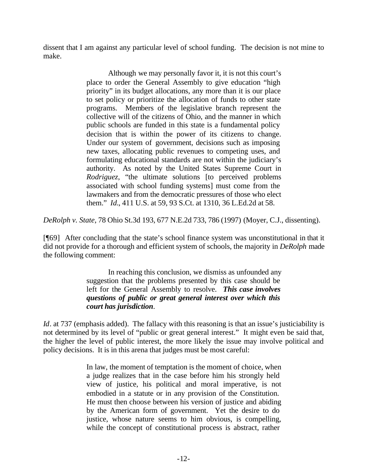dissent that I am against any particular level of school funding. The decision is not mine to make.

> Although we may personally favor it, it is not this court's place to order the General Assembly to give education "high priority" in its budget allocations, any more than it is our place to set policy or prioritize the allocation of funds to other state programs. Members of the legislative branch represent the collective will of the citizens of Ohio, and the manner in which public schools are funded in this state is a fundamental policy decision that is within the power of its citizens to change. Under our system of government, decisions such as imposing new taxes, allocating public revenues to competing uses, and formulating educational standards are not within the judiciary's authority. As noted by the United States Supreme Court in *Rodriguez*, "the ultimate solutions [to perceived problems associated with school funding systems] must come from the lawmakers and from the democratic pressures of those who elect them." *Id.*, 411 U.S. at 59, 93 S.Ct. at 1310, 36 L.Ed.2d at 58.

*DeRolph v. State*, 78 Ohio St.3d 193, 677 N.E.2d 733, 786 (1997) (Moyer, C.J., dissenting).

[¶69] After concluding that the state's school finance system was unconstitutional in that it did not provide for a thorough and efficient system of schools, the majority in *DeRolph* made the following comment:

> In reaching this conclusion, we dismiss as unfounded any suggestion that the problems presented by this case should be left for the General Assembly to resolve. *This case involves questions of public or great general interest over which this court has jurisdiction*.

*Id*. at 737 (emphasis added). The fallacy with this reasoning is that an issue's justiciability is not determined by its level of "public or great general interest." It might even be said that, the higher the level of public interest, the more likely the issue may involve political and policy decisions. It is in this arena that judges must be most careful:

> In law, the moment of temptation is the moment of choice, when a judge realizes that in the case before him his strongly held view of justice, his political and moral imperative, is not embodied in a statute or in any provision of the Constitution. He must then choose between his version of justice and abiding by the American form of government. Yet the desire to do justice, whose nature seems to him obvious, is compelling, while the concept of constitutional process is abstract, rather